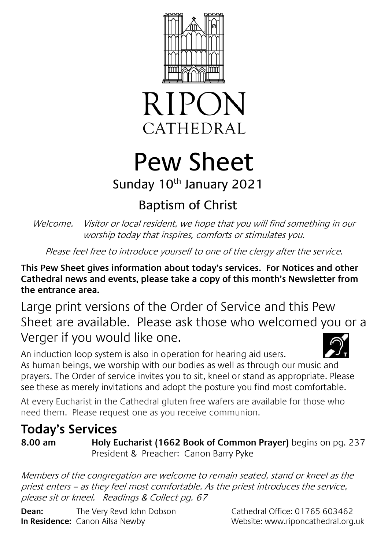



# Pew Sheet

### Sunday 10<sup>th</sup> January 2021

## Baptism of Christ

Welcome. Visitor or local resident, we hope that you will find something in our worship today that inspires, comforts or stimulates you.

Please feel free to introduce yourself to one of the clergy after the service.

**This Pew Sheet gives information about today's services. For Notices and other Cathedral news and events, please take a copy of this month's Newsletter from the entrance area.** 

Large print versions of the Order of Service and this Pew Sheet are available. Please ask those who welcomed you or a Verger if you would like one.

An induction loop system is also in operation for hearing aid users. As human beings, we worship with our bodies as well as through our music and prayers. The Order of service invites you to sit, kneel or stand as appropriate. Please see these as merely invitations and adopt the posture you find most comfortable.

At every Eucharist in the Cathedral gluten free wafers are available for those who need them. Please request one as you receive communion.

### **Today's Services**

**8.00 am Holy Eucharist (1662 Book of Common Prayer)** begins on pg. 237 President & Preacher: Canon Barry Pyke

Members of the congregation are welcome to remain seated, stand or kneel as the priest enters – as they feel most comfortable. As the priest introduces the service, please sit or kneel. Readings & Collect pg. 67

**Dean:** The Very Revd John Dobson Cathedral Office: 01765 603462 **In Residence:** Canon Ailsa Newby Website: www.riponcathedral.org.uk